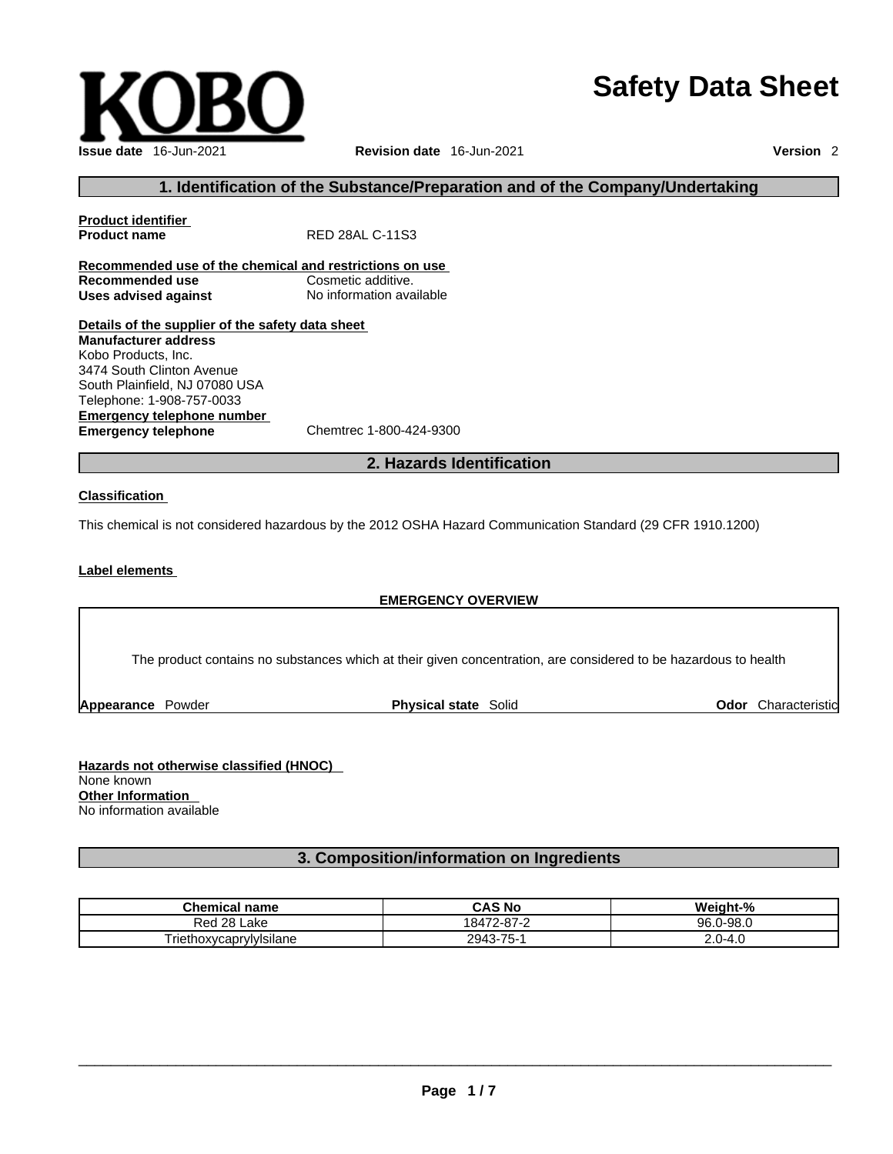# **Safety Data Sheet**



# **1. Identification of the Substance/Preparation and of the Company/Undertaking**

**Product identifier Product name** RED 28AL C-11S3 **Recommended use of the chemical and restrictions on use Recommended use**<br> **Uses advised against**<br> **Uses advised against**<br> **No information available Uses** advised against **Details of the supplier of the safety data sheet Manufacturer address** Kobo Products, Inc. 3474 South Clinton Avenue South Plainfield, NJ 07080 USA Telephone: 1-908-757-0033

**Emergency telephone number**<br> **Emergency telephone**<br>
Chemtrec 1-800-424-9300 **Emergency telephone** 

# **2. Hazards Identification**

#### **Classification**

This chemical is not considered hazardous by the 2012 OSHA Hazard Communication Standard (29 CFR 1910.1200)

#### **Label elements**

#### **EMERGENCY OVERVIEW**

The product contains no substances which at their given concentration, are considered to be hazardous to health

**Appearance Powder <b>Physical state** Solid

**Odor** Characteristic

**Hazards not otherwise classified (HNOC)**  None known **Other Information**  No information available

# **3. Composition/information on Ingredients**

| <b>Chemical</b><br>name             | CAS No     | Weight-%  |
|-------------------------------------|------------|-----------|
| 28 l<br>Red<br>Lake                 | 18472-87-2 | 96.0-98.0 |
| $\cdot$ .<br>riethoxycaprylylsilane | 2943-75-1  | 2.0-4.0   |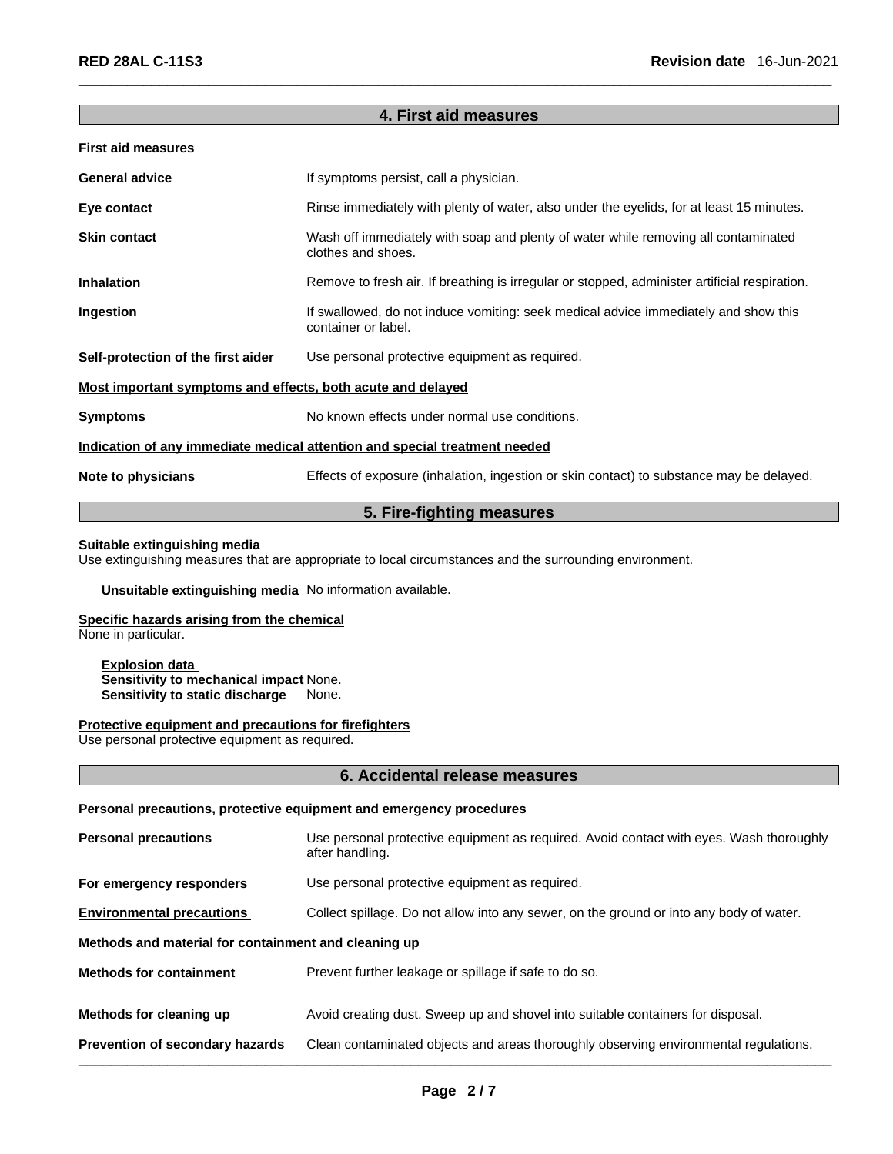# **4. First aid measures**

| <b>First aid measures</b>                                                  |                                                                                                            |  |
|----------------------------------------------------------------------------|------------------------------------------------------------------------------------------------------------|--|
| <b>General advice</b>                                                      | If symptoms persist, call a physician.                                                                     |  |
| Eye contact                                                                | Rinse immediately with plenty of water, also under the eyelids, for at least 15 minutes.                   |  |
| <b>Skin contact</b>                                                        | Wash off immediately with soap and plenty of water while removing all contaminated<br>clothes and shoes.   |  |
| <b>Inhalation</b>                                                          | Remove to fresh air. If breathing is irregular or stopped, administer artificial respiration.              |  |
| Ingestion                                                                  | If swallowed, do not induce vomiting: seek medical advice immediately and show this<br>container or label. |  |
| Self-protection of the first aider                                         | Use personal protective equipment as required.                                                             |  |
| Most important symptoms and effects, both acute and delayed                |                                                                                                            |  |
| <b>Symptoms</b>                                                            | No known effects under normal use conditions.                                                              |  |
| Indication of any immediate medical attention and special treatment needed |                                                                                                            |  |
| Note to physicians                                                         | Effects of exposure (inhalation, ingestion or skin contact) to substance may be delayed.                   |  |
|                                                                            |                                                                                                            |  |

# **5. Fire-fighting measures**

# **Suitable extinguishing media**

Use extinguishing measures that are appropriate to local circumstances and the surrounding environment.

**Unsuitable extinguishing media** No information available.

#### **Specific hazards arising from the chemical**

None in particular.

**Explosion data Sensitivity to mechanical impact** None. **Sensitivity to static discharge** None.

# **Protective equipment and precautions for firefighters**

Use personal protective equipment as required.

# **6. Accidental release measures**

# **Personal precautions, protective equipment and emergency procedures**

| <b>Prevention of secondary hazards</b>               | Clean contaminated objects and areas thoroughly observing environmental regulations.                       |
|------------------------------------------------------|------------------------------------------------------------------------------------------------------------|
| Methods for cleaning up                              | Avoid creating dust. Sweep up and shovel into suitable containers for disposal.                            |
| <b>Methods for containment</b>                       | Prevent further leakage or spillage if safe to do so.                                                      |
| Methods and material for containment and cleaning up |                                                                                                            |
| <b>Environmental precautions</b>                     | Collect spillage. Do not allow into any sewer, on the ground or into any body of water.                    |
| For emergency responders                             | Use personal protective equipment as required.                                                             |
| <b>Personal precautions</b>                          | Use personal protective equipment as required. Avoid contact with eyes. Wash thoroughly<br>after handling. |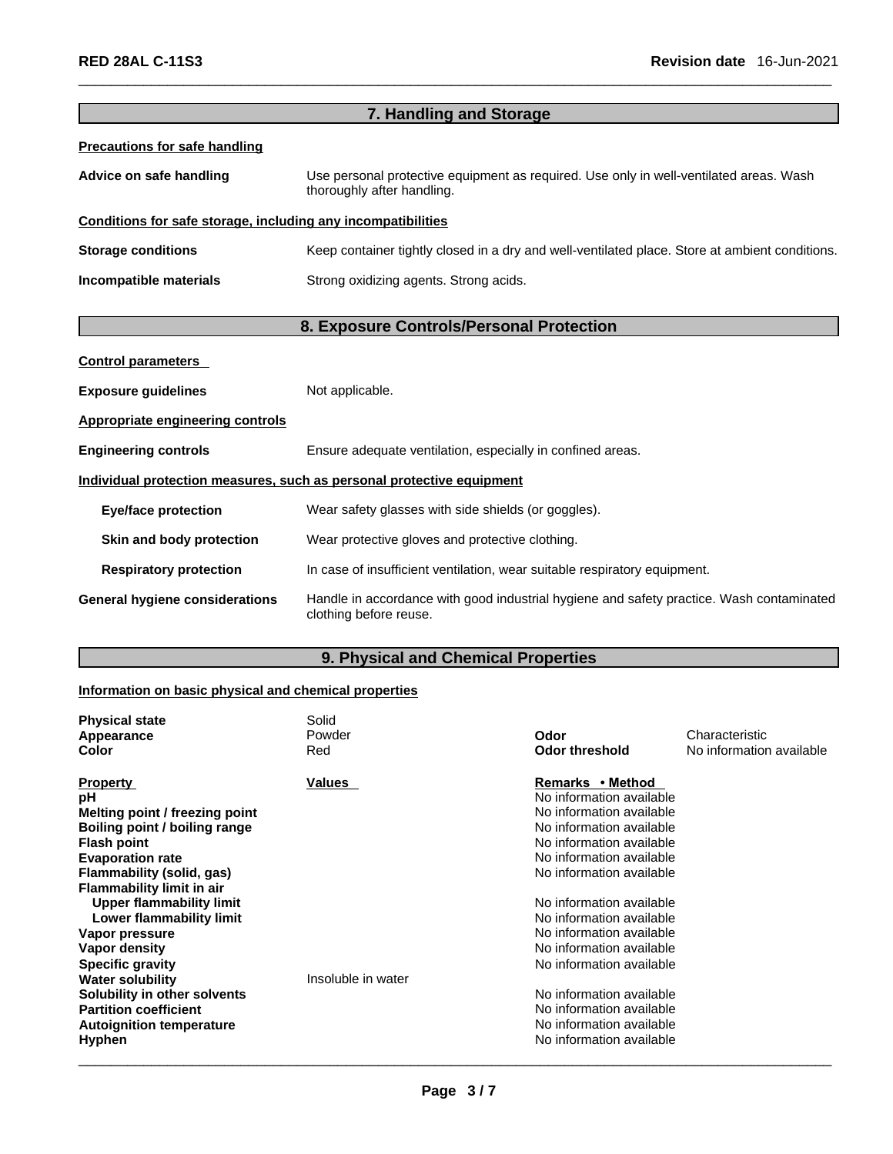| 7. Handling and Storage                                      |                                                                                                                      |  |
|--------------------------------------------------------------|----------------------------------------------------------------------------------------------------------------------|--|
| <b>Precautions for safe handling</b>                         |                                                                                                                      |  |
| Advice on safe handling                                      | Use personal protective equipment as required. Use only in well-ventilated areas. Wash<br>thoroughly after handling. |  |
| Conditions for safe storage, including any incompatibilities |                                                                                                                      |  |
| <b>Storage conditions</b>                                    | Keep container tightly closed in a dry and well-ventilated place. Store at ambient conditions.                       |  |
| Incompatible materials                                       | Strong oxidizing agents. Strong acids.                                                                               |  |
|                                                              | 8. Exposure Controls/Personal Protection                                                                             |  |
| <b>Control parameters</b>                                    |                                                                                                                      |  |
| <b>Exposure guidelines</b>                                   | Not applicable.                                                                                                      |  |
| Appropriate engineering controls                             |                                                                                                                      |  |
| <b>Engineering controls</b>                                  | Ensure adequate ventilation, especially in confined areas.                                                           |  |
|                                                              | Individual protection measures, such as personal protective equipment                                                |  |
| <b>Eye/face protection</b>                                   | Wear safety glasses with side shields (or goggles).                                                                  |  |
| Skin and body protection                                     | Wear protective gloves and protective clothing.                                                                      |  |
| <b>Respiratory protection</b>                                | In case of insufficient ventilation, wear suitable respiratory equipment.                                            |  |
| General hygiene considerations                               | Handle in accordance with good industrial hygiene and safety practice. Wash contaminated<br>clothing before reuse.   |  |

# **9. Physical and Chemical Properties**

# **Information on basic physical and chemical properties**

| <b>Physical state</b>            | Solid              |                          |                          |
|----------------------------------|--------------------|--------------------------|--------------------------|
| Appearance                       | Powder             | Odor                     | Characteristic           |
| Color                            | Red                | <b>Odor threshold</b>    | No information available |
| <b>Property</b>                  | Values             | Remarks • Method         |                          |
| рH                               |                    | No information available |                          |
| Melting point / freezing point   |                    | No information available |                          |
| Boiling point / boiling range    |                    | No information available |                          |
| <b>Flash point</b>               |                    | No information available |                          |
| <b>Evaporation rate</b>          |                    | No information available |                          |
| Flammability (solid, gas)        |                    | No information available |                          |
| <b>Flammability limit in air</b> |                    |                          |                          |
| Upper flammability limit         |                    | No information available |                          |
| Lower flammability limit         |                    | No information available |                          |
| Vapor pressure                   |                    | No information available |                          |
| Vapor density                    |                    | No information available |                          |
| <b>Specific gravity</b>          |                    | No information available |                          |
| <b>Water solubility</b>          | Insoluble in water |                          |                          |
| Solubility in other solvents     |                    | No information available |                          |
| <b>Partition coefficient</b>     |                    | No information available |                          |
| <b>Autoignition temperature</b>  |                    | No information available |                          |
| <b>Hyphen</b>                    |                    | No information available |                          |
|                                  |                    |                          |                          |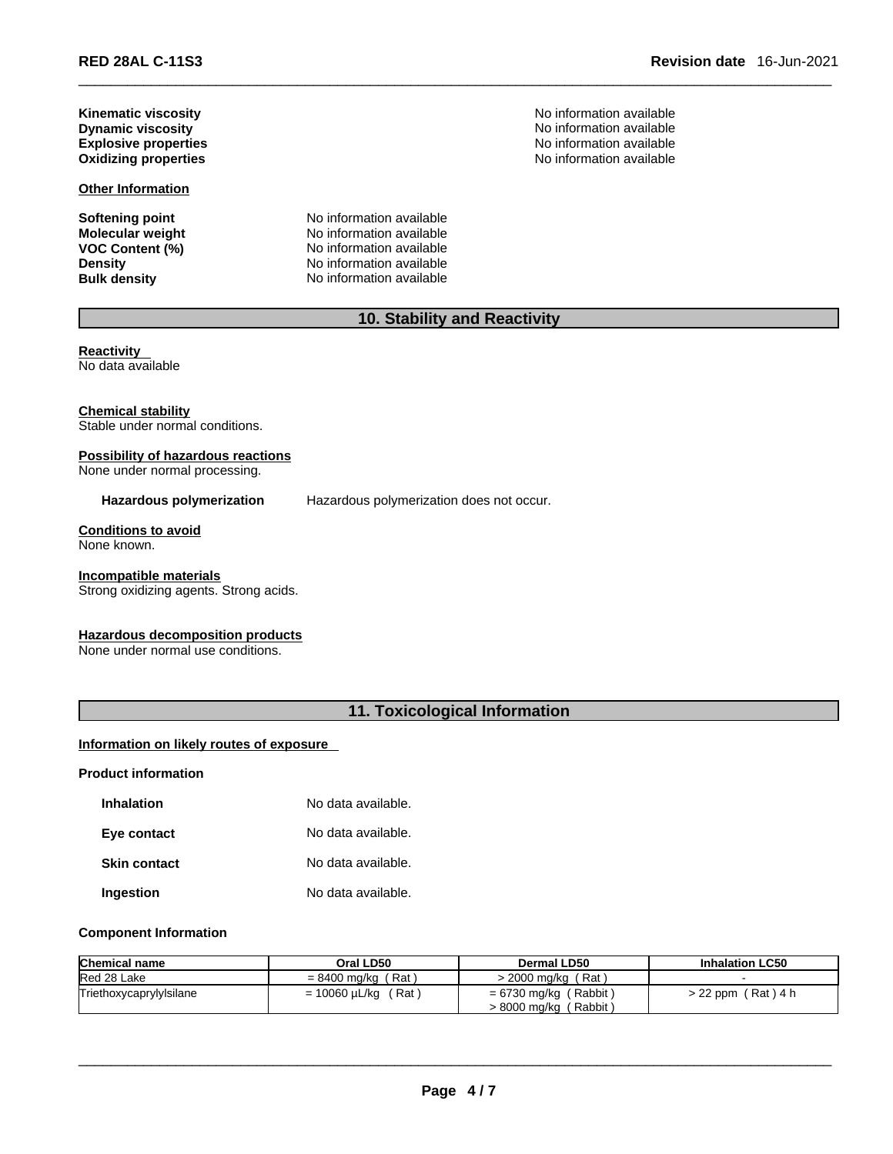\_\_\_\_\_\_\_\_\_\_\_\_\_\_\_\_\_\_\_\_\_\_\_\_\_\_\_\_\_\_\_\_\_\_\_\_\_\_\_\_\_\_\_\_\_\_\_\_\_\_\_\_\_\_\_\_\_\_\_\_\_\_\_\_\_\_\_\_\_\_\_\_\_\_\_\_\_\_\_\_\_\_\_\_\_\_\_\_\_\_\_\_\_ **RED 28AL C-11S3 Revision date** 16-Jun-2021

**Kinematic viscosity**<br> **Community** Dynamic viscosity<br> **Community** Dynamic viscosity<br>
No information available **Oxidizing properties** 

#### **Other Information**

**Softening point**<br> **Molecular weight**<br> **Molecular weight**<br> **Molecular weight**<br> **Molecular weight Molecular weight** No information available<br> **VOC Content (%)** No information available **VOC Content (%)** No information available **Density Density No information available**<br> **Bulk density No information available No information available** 

No information available<br>No information available **Explosive properties**<br> **Explosive properties**<br> **Oxidizing properties**<br> **Oxidizing properties**<br>
No information available

# **10. Stability and Reactivity**

**Reactivity**  No data available

**Chemical stability** Stable under normal conditions.

#### **Possibility of hazardous reactions** None under normal processing.

**Hazardous polymerization** Hazardous polymerization does not occur.

**Conditions to avoid** None known.

#### **Incompatible materials**

Strong oxidizing agents. Strong acids.

#### **Hazardous decomposition products**

None under normal use conditions.

# **11. Toxicological Information**

# **Information on likely routes of exposure**

#### **Product information**

| <b>Inhalation</b>   | No data available. |
|---------------------|--------------------|
| Eye contact         | No data available. |
| <b>Skin contact</b> | No data available. |
| Ingestion           | No data available. |

#### **Component Information**

| <b>Chemical name</b>    | Oral LD50                | Dermal LD50                                      | <b>Inhalation LC50</b> |
|-------------------------|--------------------------|--------------------------------------------------|------------------------|
| Red 28 Lake             | $= 8400$ ma/ka (Rat)     | / 2000 mg/kg ∠<br>(Rat)                          |                        |
| Triethoxycaprylylsilane | $= 10060 \mu L/kg$ (Rat) | $= 6730$ mg/kg (Rabbit)<br>> 8000 mg/kg (Rabbit) | $> 22$ ppm (Rat) 4 h   |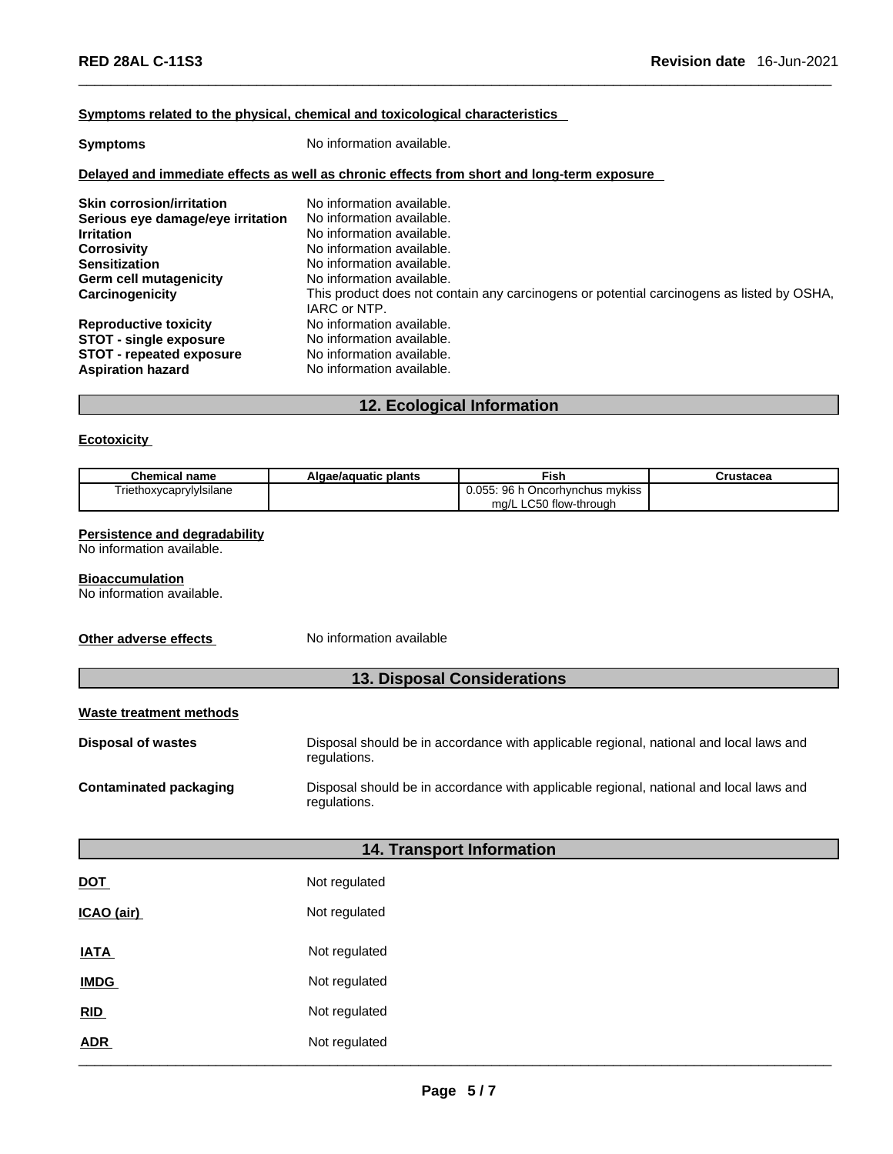#### **<u>Symptoms related to the physical, chemical and toxicological characteristics</u>**

| <b>Symptoms</b>                                                                            | No information available.                                                                                 |  |  |  |
|--------------------------------------------------------------------------------------------|-----------------------------------------------------------------------------------------------------------|--|--|--|
| Delayed and immediate effects as well as chronic effects from short and long-term exposure |                                                                                                           |  |  |  |
| <b>Skin corrosion/irritation</b>                                                           | No information available.                                                                                 |  |  |  |
| Serious eye damage/eye irritation                                                          | No information available.                                                                                 |  |  |  |
| <b>Irritation</b>                                                                          | No information available.                                                                                 |  |  |  |
| <b>Corrosivity</b>                                                                         | No information available.                                                                                 |  |  |  |
| <b>Sensitization</b>                                                                       | No information available.                                                                                 |  |  |  |
| <b>Germ cell mutagenicity</b>                                                              | No information available.                                                                                 |  |  |  |
| Carcinogenicity                                                                            | This product does not contain any carcinogens or potential carcinogens as listed by OSHA,<br>IARC or NTP. |  |  |  |
| <b>Reproductive toxicity</b>                                                               | No information available.                                                                                 |  |  |  |
| <b>STOT - single exposure</b>                                                              | No information available.                                                                                 |  |  |  |
| <b>STOT - repeated exposure</b>                                                            | No information available.                                                                                 |  |  |  |
| <b>Aspiration hazard</b>                                                                   | No information available.                                                                                 |  |  |  |

# **12. Ecological Information**

# **Ecotoxicity**

| Chemical name           | Algae/aguatic plants | <b>Fish</b>                          | Crustacea |
|-------------------------|----------------------|--------------------------------------|-----------|
| Triethoxycaprylylsilane |                      | 0.055: 96 h<br>ı Oncorhvnchus mvkiss |           |
|                         |                      | ma/L LC50 flow-through               |           |

# **Persistence and degradability**

No information available.

# **Bioaccumulation**

No information available.

**Other adverse effects** No information available

regulations.

# **13. Disposal Considerations**

# **Waste treatment methods**

| <b>Disposal of wastes</b>     | Disposal should be in accordance with applicable regional, national and local laws and<br>regulations. |  |
|-------------------------------|--------------------------------------------------------------------------------------------------------|--|
| <b>Contaminated packaging</b> | Disposal should be in accordance with applicable regional, national and local laws and                 |  |

# **14. Transport Information**

| <u>DOT</u>  | Not regulated |
|-------------|---------------|
| ICAO (air)  | Not regulated |
| <b>IATA</b> | Not regulated |
| <b>IMDG</b> | Not regulated |
| RID         | Not regulated |
| <b>ADR</b>  | Not regulated |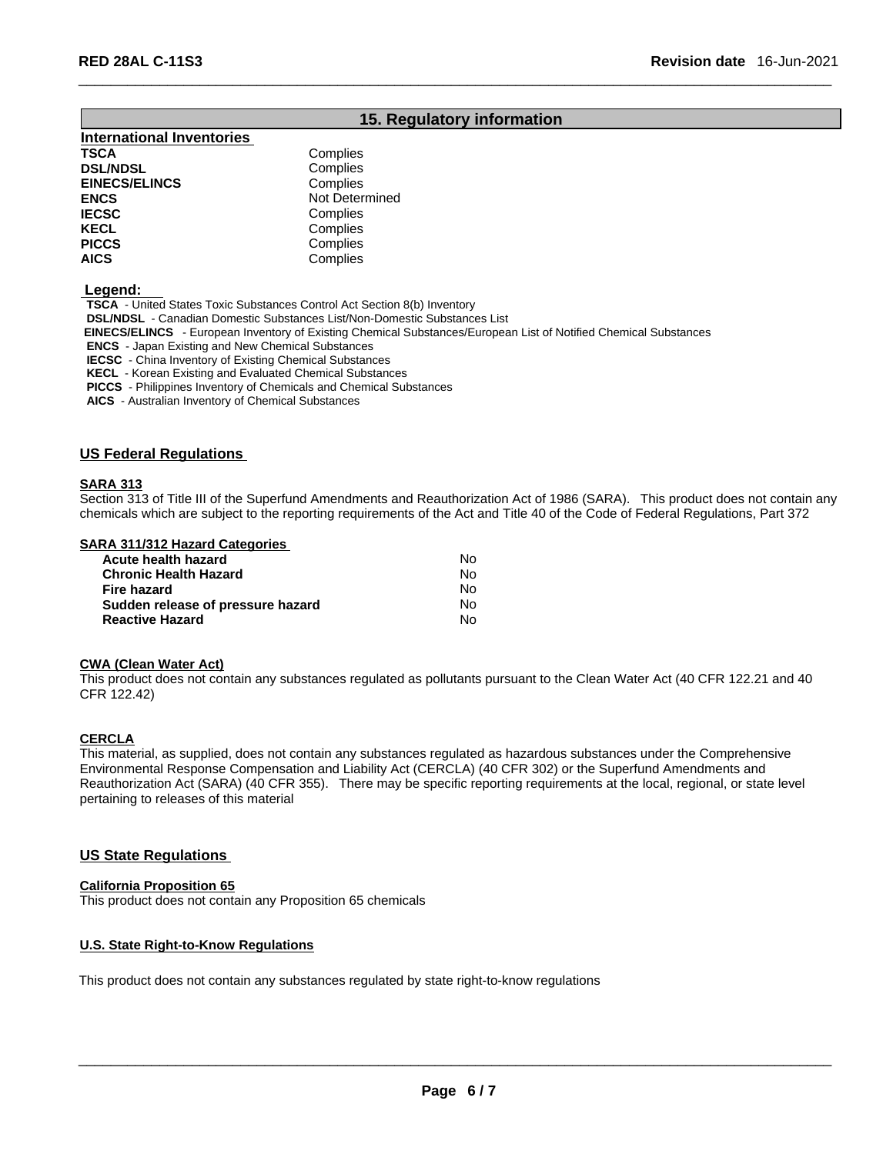# **15. Regulatory information**

**International Inventories TSCA** Complies<br> **DSL/NDSL** Complies **DSL/NDSL EINECS/ELINCS** Complies **ENCS** Not Determined **IECSC** Complies **KECL Complies**<br> **PICCS** Complies **PICCS** Complies **AICS** Complies

 **Legend:** 

**TSCA** - United States Toxic Substances Control Act Section 8(b) Inventory

**DSL/NDSL** - Canadian Domestic Substances List/Non-Domestic Substances List

 **EINECS/ELINCS** - European Inventory of Existing Chemical Substances/European List of Notified Chemical Substances

**ENCS** - Japan Existing and New Chemical Substances

**IECSC** - China Inventory of Existing Chemical Substances

**KECL** - Korean Existing and Evaluated Chemical Substances

**PICCS** - Philippines Inventory of Chemicals and Chemical Substances

**AICS** - Australian Inventory of Chemical Substances

#### **US Federal Regulations**

#### **SARA 313**

Section 313 of Title III of the Superfund Amendments and Reauthorization Act of 1986 (SARA). This product does not contain any chemicals which are subject to the reporting requirements of the Act and Title 40 of the Code of Federal Regulations, Part 372

#### **SARA 311/312 Hazard Categories**

| Acute health hazard               | No. |  |
|-----------------------------------|-----|--|
| Chronic Health Hazard             | N٥  |  |
| Fire hazard                       | No. |  |
| Sudden release of pressure hazard | No. |  |
| <b>Reactive Hazard</b>            | N٥  |  |

#### **CWA** (Clean Water Act)

This product does not contain any substances regulated as pollutants pursuant to the Clean Water Act (40 CFR 122.21 and 40 CFR 122.42)

#### **CERCLA**

This material, as supplied, does not contain any substances regulated as hazardous substances under the Comprehensive Environmental Response Compensation and Liability Act(CERCLA) (40 CFR 302) or the Superfund Amendments and Reauthorization Act (SARA) (40 CFR 355). There may be specific reporting requirements at the local, regional, or state level pertaining to releases of this material

# **US State Regulations**

#### **California Proposition 65**

This product does not contain any Proposition 65 chemicals

#### **U.S. State Right-to-Know Regulations**

This product does not contain any substances regulated by state right-to-know regulations